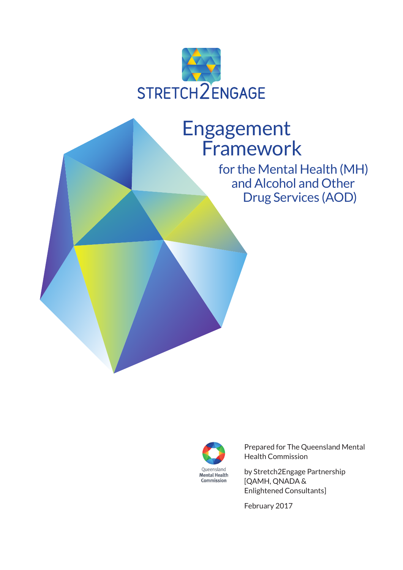

# Engagement Framework

for the Mental Health (MH) and Alcohol and Other Drug Services (AOD)



Prepared for The Queensland Mental Health Commission

by Stretch2Engage Partnership [QAMH, QNADA & Enlightened Consultants]

February 2017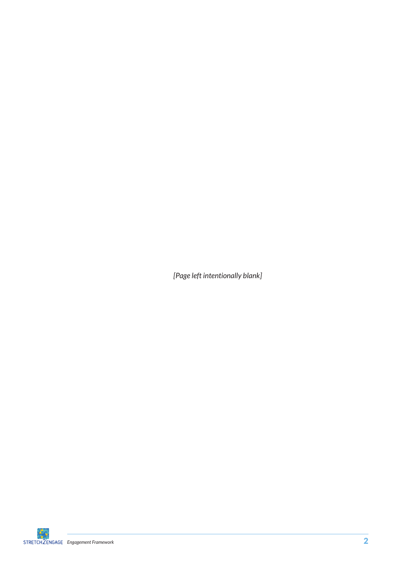*[Page left intentionally blank]*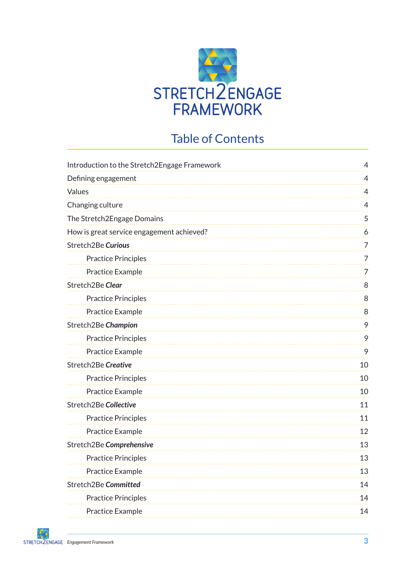

# Table of Contents

| Introduction to the Stretch2Engage Framework | $\overline{4}$ |
|----------------------------------------------|----------------|
| Defining engagement                          | $\overline{4}$ |
| Values                                       | $\overline{4}$ |
| Changing culture                             | 4              |
| The Stretch2Engage Domains                   | 5              |
| How is great service engagement achieved?    | 6              |
| Stretch2Be Curious                           | 7              |
| <b>Practice Principles</b>                   | 7              |
| Practice Example                             | 7              |
| Stretch2Be Clear                             | 8              |
| <b>Practice Principles</b>                   | 8              |
| Practice Example                             | 8              |
| Stretch2Be Champion                          | 9              |
| <b>Practice Principles</b>                   | 9              |
| Practice Example                             | 9              |
| Stretch2Be Creative                          | 10             |
| <b>Practice Principles</b>                   | 10             |
| Practice Example                             | 10             |
| Stretch2Be Collective                        | 11             |
| <b>Practice Principles</b>                   | 11             |
| Practice Example                             | 12             |
| Stretch2Be Comprehensive                     | 13             |
| <b>Practice Principles</b>                   | 13             |
| Practice Example                             | 13             |
| Stretch2Be Committed                         | 14             |
| <b>Practice Principles</b>                   | 14             |
| Practice Example                             | 14             |
|                                              |                |

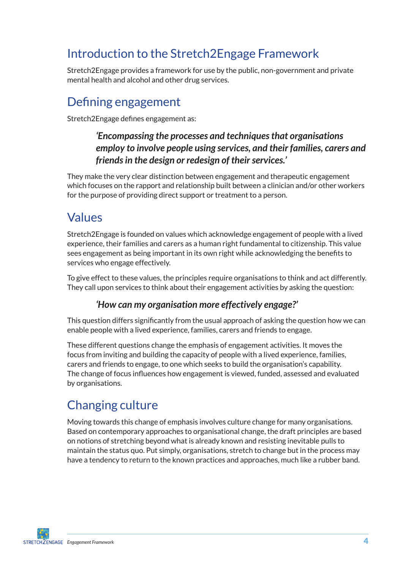# Introduction to the Stretch2Engage Framework

Stretch2Engage provides a framework for use by the public, non-government and private mental health and alcohol and other drug services.

# Defining engagement

Stretch2Engage defines engagement as:

#### *'Encompassing the processes and techniques that organisations employ to involve people using services, and their families, carers and friends in the design or redesign of their services.'*

They make the very clear distinction between engagement and therapeutic engagement which focuses on the rapport and relationship built between a clinician and/or other workers for the purpose of providing direct support or treatment to a person.

## Values

Stretch2Engage is founded on values which acknowledge engagement of people with a lived experience, their families and carers as a human right fundamental to citizenship. This value sees engagement as being important in its own right while acknowledging the benefits to services who engage effectively.

To give effect to these values, the principles require organisations to think and act differently. They call upon services to think about their engagement activities by asking the question:

#### *'How can my organisation more effectively engage?'*

This question differs significantly from the usual approach of asking the question how we can enable people with a lived experience, families, carers and friends to engage.

These different questions change the emphasis of engagement activities. It moves the focus from inviting and building the capacity of people with a lived experience, families, carers and friends to engage, to one which seeks to build the organisation's capability. The change of focus influences how engagement is viewed, funded, assessed and evaluated by organisations.

# Changing culture

Moving towards this change of emphasis involves culture change for many organisations. Based on contemporary approaches to organisational change, the draft principles are based on notions of stretching beyond what is already known and resisting inevitable pulls to maintain the status quo. Put simply, organisations, stretch to change but in the process may have a tendency to return to the known practices and approaches, much like a rubber band.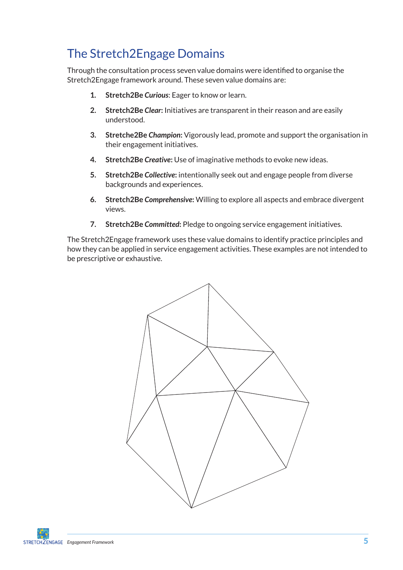# The Stretch2Engage Domains

Through the consultation process seven value domains were identified to organise the Stretch2Engage framework around. These seven value domains are:

- **1. Stretch2Be** *Curious*: Eager to know or learn.
- **2. Stretch2Be** *Clear***:** Initiatives are transparent in their reason and are easily understood.
- **3. Stretche2Be** *Champion***:** Vigorously lead, promote and support the organisation in their engagement initiatives.
- **4. Stretch2Be** *Creative***:** Use of imaginative methods to evoke new ideas.
- **5. Stretch2Be** *Collective***:** intentionally seek out and engage people from diverse backgrounds and experiences.
- **6. Stretch2Be** *Comprehensive***:** Willing to explore all aspects and embrace divergent views.
- **7. Stretch2Be** *Committed***:** Pledge to ongoing service engagement initiatives.

The Stretch2Engage framework uses these value domains to identify practice principles and how they can be applied in service engagement activities. These examples are not intended to be prescriptive or exhaustive.

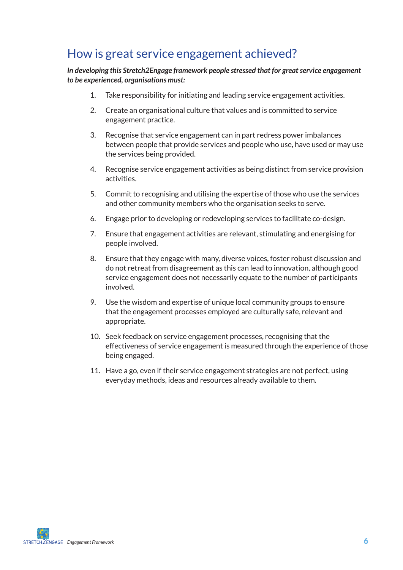# How is great service engagement achieved?

#### *In developing this Stretch2Engage framework people stressed that for great service engagement to be experienced, organisations must:*

- 1. Take responsibility for initiating and leading service engagement activities.
- 2. Create an organisational culture that values and is committed to service engagement practice.
- 3. Recognise that service engagement can in part redress power imbalances between people that provide services and people who use, have used or may use the services being provided.
- 4. Recognise service engagement activities as being distinct from service provision activities.
- 5. Commit to recognising and utilising the expertise of those who use the services and other community members who the organisation seeks to serve.
- 6. Engage prior to developing or redeveloping services to facilitate co-design.
- 7. Ensure that engagement activities are relevant, stimulating and energising for people involved.
- 8. Ensure that they engage with many, diverse voices, foster robust discussion and do not retreat from disagreement as this can lead to innovation, although good service engagement does not necessarily equate to the number of participants involved.
- 9. Use the wisdom and expertise of unique local community groups to ensure that the engagement processes employed are culturally safe, relevant and appropriate.
- 10. Seek feedback on service engagement processes, recognising that the effectiveness of service engagement is measured through the experience of those being engaged.
- 11. Have a go, even if their service engagement strategies are not perfect, using everyday methods, ideas and resources already available to them.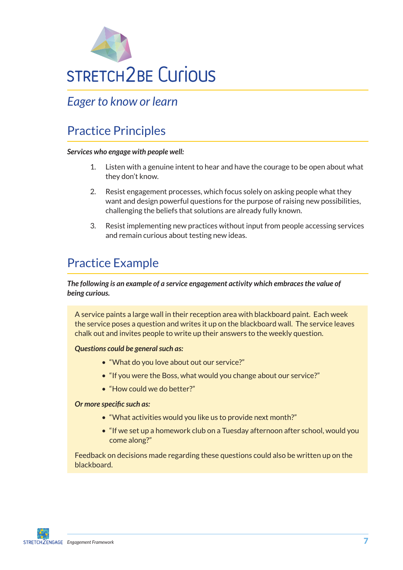

### *Eager to know or learn*

# Practice Principles

#### *Services who engage with people well:*

- 1. Listen with a genuine intent to hear and have the courage to be open about what they don't know.
- 2. Resist engagement processes, which focus solely on asking people what they want and design powerful questions for the purpose of raising new possibilities, challenging the beliefs that solutions are already fully known.
- 3. Resist implementing new practices without input from people accessing services and remain curious about testing new ideas.

# Practice Example

*The following is an example of a service engagement activity which embraces the value of being curious.* 

A service paints a large wall in their reception area with blackboard paint. Each week the service poses a question and writes it up on the blackboard wall. The service leaves chalk out and invites people to write up their answers to the weekly question.

*Questions could be general such as:* 

- "What do you love about out our service?"
- "If you were the Boss, what would you change about our service?"
- "How could we do better?"

#### *Or more specific such as:*

- "What activities would you like us to provide next month?"
- "If we set up a homework club on a Tuesday afternoon after school, would you come along?"

Feedback on decisions made regarding these questions could also be written up on the blackboard.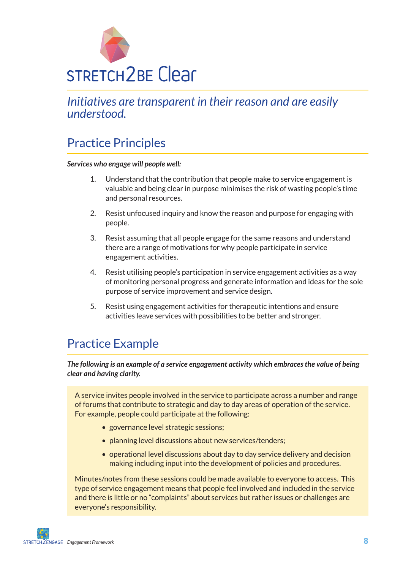

### *Initiatives are transparent in their reason and are easily understood.*

## Practice Principles

#### *Services who engage will people well:*

- 1. Understand that the contribution that people make to service engagement is valuable and being clear in purpose minimises the risk of wasting people's time and personal resources.
- 2. Resist unfocused inquiry and know the reason and purpose for engaging with people.
- 3. Resist assuming that all people engage for the same reasons and understand there are a range of motivations for why people participate in service engagement activities.
- 4. Resist utilising people's participation in service engagement activities as a way of monitoring personal progress and generate information and ideas for the sole purpose of service improvement and service design.
- 5. Resist using engagement activities for therapeutic intentions and ensure activities leave services with possibilities to be better and stronger.

### Practice Example

*The following is an example of a service engagement activity which embraces the value of being clear and having clarity.* 

A service invites people involved in the service to participate across a number and range of forums that contribute to strategic and day to day areas of operation of the service. For example, people could participate at the following:

- governance level strategic sessions;
- planning level discussions about new services/tenders;
- operational level discussions about day to day service delivery and decision making including input into the development of policies and procedures.

Minutes/notes from these sessions could be made available to everyone to access. This type of service engagement means that people feel involved and included in the service and there is little or no "complaints" about services but rather issues or challenges are everyone's responsibility.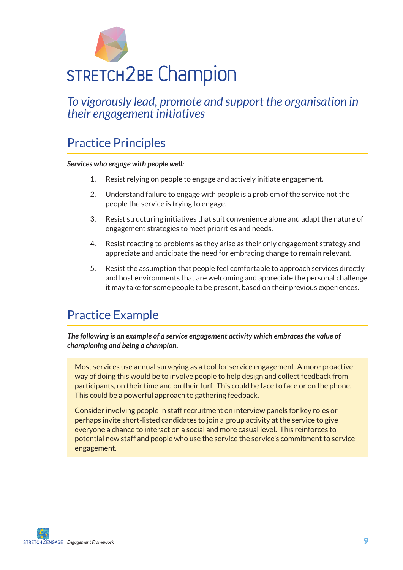

#### *To vigorously lead, promote and support the organisation in their engagement initiatives*

### Practice Principles

#### *Services who engage with people well:*

- 1. Resist relying on people to engage and actively initiate engagement.
- 2. Understand failure to engage with people is a problem of the service not the people the service is trying to engage.
- 3. Resist structuring initiatives that suit convenience alone and adapt the nature of engagement strategies to meet priorities and needs.
- 4. Resist reacting to problems as they arise as their only engagement strategy and appreciate and anticipate the need for embracing change to remain relevant.
- 5. Resist the assumption that people feel comfortable to approach services directly and host environments that are welcoming and appreciate the personal challenge it may take for some people to be present, based on their previous experiences.

### Practice Example

*The following is an example of a service engagement activity which embraces the value of championing and being a champion.*

Most services use annual surveying as a tool for service engagement. A more proactive way of doing this would be to involve people to help design and collect feedback from participants, on their time and on their turf. This could be face to face or on the phone. This could be a powerful approach to gathering feedback.

Consider involving people in staff recruitment on interview panels for key roles or perhaps invite short-listed candidates to join a group activity at the service to give everyone a chance to interact on a social and more casual level. This reinforces to potential new staff and people who use the service the service's commitment to service engagement.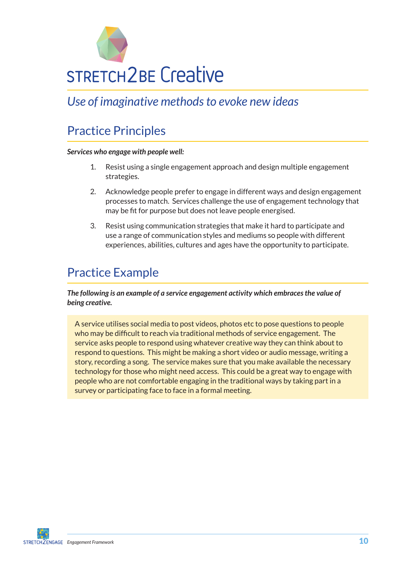

# *Use of imaginative methods to evoke new ideas*

# Practice Principles

#### *Services who engage with people well:*

- 1. Resist using a single engagement approach and design multiple engagement strategies.
- 2. Acknowledge people prefer to engage in different ways and design engagement processes to match. Services challenge the use of engagement technology that may be fit for purpose but does not leave people energised.
- 3. Resist using communication strategies that make it hard to participate and use a range of communication styles and mediums so people with different experiences, abilities, cultures and ages have the opportunity to participate.

### Practice Example

*The following is an example of a service engagement activity which embraces the value of being creative.* 

A service utilises social media to post videos, photos etc to pose questions to people who may be difficult to reach via traditional methods of service engagement. The service asks people to respond using whatever creative way they can think about to respond to questions. This might be making a short video or audio message, writing a story, recording a song. The service makes sure that you make available the necessary technology for those who might need access. This could be a great way to engage with people who are not comfortable engaging in the traditional ways by taking part in a survey or participating face to face in a formal meeting.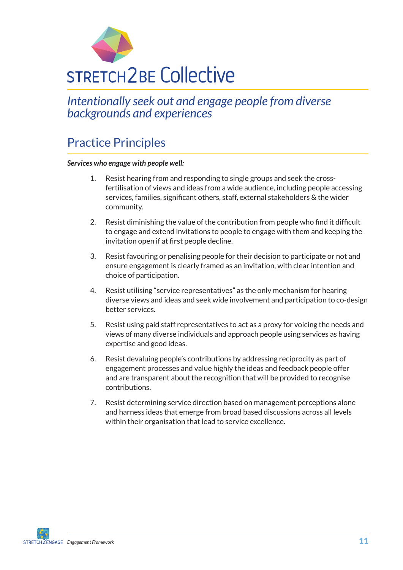

#### *Intentionally seek out and engage people from diverse backgrounds and experiences*

# Practice Principles

#### *Services who engage with people well:*

- 1. Resist hearing from and responding to single groups and seek the crossfertilisation of views and ideas from a wide audience, including people accessing services, families, significant others, staff, external stakeholders & the wider community.
- 2. Resist diminishing the value of the contribution from people who find it difficult to engage and extend invitations to people to engage with them and keeping the invitation open if at first people decline.
- 3. Resist favouring or penalising people for their decision to participate or not and ensure engagement is clearly framed as an invitation, with clear intention and choice of participation.
- 4. Resist utilising "service representatives" as the only mechanism for hearing diverse views and ideas and seek wide involvement and participation to co-design better services.
- 5. Resist using paid staff representatives to act as a proxy for voicing the needs and views of many diverse individuals and approach people using services as having expertise and good ideas.
- 6. Resist devaluing people's contributions by addressing reciprocity as part of engagement processes and value highly the ideas and feedback people offer and are transparent about the recognition that will be provided to recognise contributions.
- 7. Resist determining service direction based on management perceptions alone and harness ideas that emerge from broad based discussions across all levels within their organisation that lead to service excellence.

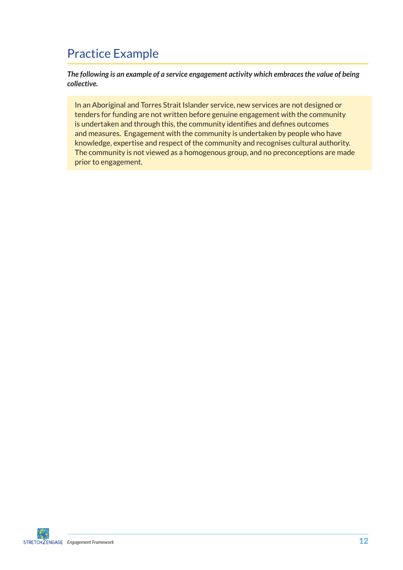# Practice Example

*The following is an example of a service engagement activity which embraces the value of being collective.* 

In an Aboriginal and Torres Strait Islander service, new services are not designed or tenders for funding are not written before genuine engagement with the community is undertaken and through this, the community identifies and defines outcomes and measures. Engagement with the community is undertaken by people who have knowledge, expertise and respect of the community and recognises cultural authority. The community is not viewed as a homogenous group, and no preconceptions are made prior to engagement.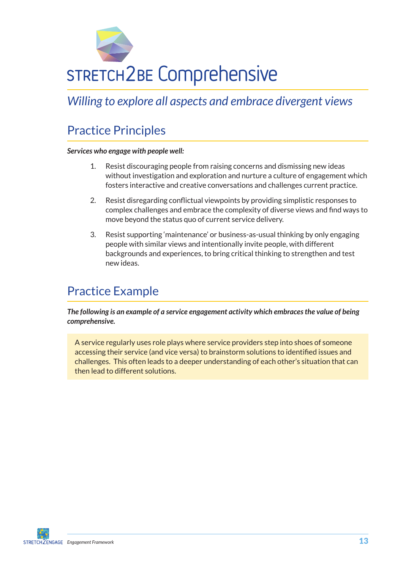

# *Willing to explore all aspects and embrace divergent views*

## Practice Principles

#### *Services who engage with people well:*

- 1. Resist discouraging people from raising concerns and dismissing new ideas without investigation and exploration and nurture a culture of engagement which fosters interactive and creative conversations and challenges current practice.
- 2. Resist disregarding conflictual viewpoints by providing simplistic responses to complex challenges and embrace the complexity of diverse views and find ways to move beyond the status quo of current service delivery.
- 3. Resist supporting 'maintenance' or business-as-usual thinking by only engaging people with similar views and intentionally invite people, with different backgrounds and experiences, to bring critical thinking to strengthen and test new ideas.

### Practice Example

*The following is an example of a service engagement activity which embraces the value of being comprehensive.*

A service regularly uses role plays where service providers step into shoes of someone accessing their service (and vice versa) to brainstorm solutions to identified issues and challenges. This often leads to a deeper understanding of each other's situation that can then lead to different solutions.